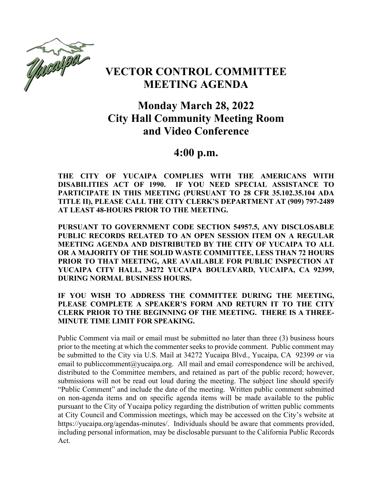

# **VECTOR CONTROL COMMITTEE MEETING AGENDA**

# **Monday March 28, 2022 City Hall Community Meeting Room and Video Conference**

# **4:00 p.m.**

**THE CITY OF YUCAIPA COMPLIES WITH THE AMERICANS WITH DISABILITIES ACT OF 1990. IF YOU NEED SPECIAL ASSISTANCE TO PARTICIPATE IN THIS MEETING (PURSUANT TO 28 CFR 35.102.35.104 ADA TITLE II), PLEASE CALL THE CITY CLERK'S DEPARTMENT AT (909) 797-2489 AT LEAST 48-HOURS PRIOR TO THE MEETING.**

**PURSUANT TO GOVERNMENT CODE SECTION 54957.5, ANY DISCLOSABLE PUBLIC RECORDS RELATED TO AN OPEN SESSION ITEM ON A REGULAR MEETING AGENDA AND DISTRIBUTED BY THE CITY OF YUCAIPA TO ALL OR A MAJORITY OF THE SOLID WASTE COMMITTEE, LESS THAN 72 HOURS PRIOR TO THAT MEETING, ARE AVAILABLE FOR PUBLIC INSPECTION AT YUCAIPA CITY HALL, 34272 YUCAIPA BOULEVARD, YUCAIPA, CA 92399, DURING NORMAL BUSINESS HOURS.**

**IF YOU WISH TO ADDRESS THE COMMITTEE DURING THE MEETING, PLEASE COMPLETE A SPEAKER'S FORM AND RETURN IT TO THE CITY CLERK PRIOR TO THE BEGINNING OF THE MEETING. THERE IS A THREE-MINUTE TIME LIMIT FOR SPEAKING.**

Public Comment via mail or email must be submitted no later than three (3) business hours prior to the meeting at which the commenter seeks to provide comment. Public comment may be submitted to the City via U.S. Mail at 34272 Yucaipa Blvd., Yucaipa, CA 92399 or via email to publiccomment@yucaipa.org. All mail and email correspondence will be archived, distributed to the Committee members, and retained as part of the public record; however, submissions will not be read out loud during the meeting. The subject line should specify "Public Comment" and include the date of the meeting. Written public comment submitted on non-agenda items and on specific agenda items will be made available to the public pursuant to the City of Yucaipa policy regarding the distribution of written public comments at City Council and Commission meetings, which may be accessed on the City's website at https://yucaipa.org/agendas-minutes/. Individuals should be aware that comments provided, including personal information, may be disclosable pursuant to the California Public Records Act.